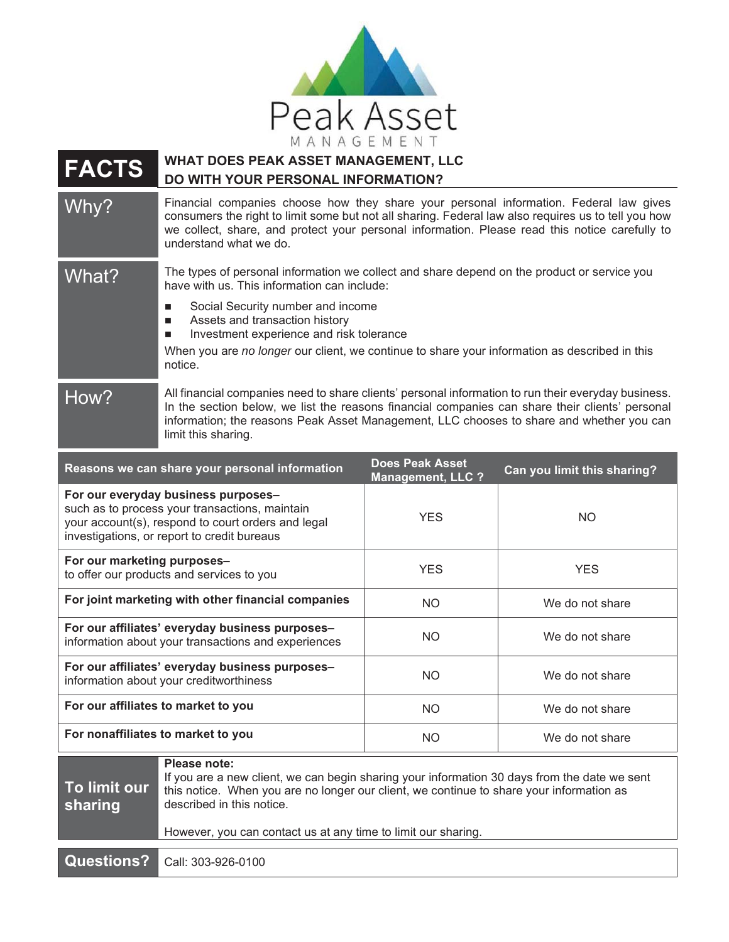

**FACTS WHAT DOES PEAK ASSET MANAGEMENT, LLC DO WITH YOUR PERSONAL INFORMATION?**

Why? Financial companies choose how they share your personal information. Federal law gives consumers the right to limit some but not all sharing. Federal law also requires us to tell you how we collect, share, and protect your personal information. Please read this notice carefully to understand what we do.

- What? The types of personal information we collect and share depend on the product or service you have with us. This information can include:
	- Social Security number and income
	- Assets and transaction history
	- **Investment experience and risk tolerance**

When you are *no longer* our client, we continue to share your information as described in this notice.

How? All financial companies need to share clients' personal information to run their everyday business. In the section below, we list the reasons financial companies can share their clients' personal information; the reasons Peak Asset Management, LLC chooses to share and whether you can limit this sharing.

| Reasons we can share your personal information                                                                                                                                             | <b>Does Peak Asset</b><br><b>Management, LLC ?</b> | Can you limit this sharing? |
|--------------------------------------------------------------------------------------------------------------------------------------------------------------------------------------------|----------------------------------------------------|-----------------------------|
| For our everyday business purposes-<br>such as to process your transactions, maintain<br>your account(s), respond to court orders and legal<br>investigations, or report to credit bureaus | <b>YES</b>                                         | <b>NO</b>                   |
| For our marketing purposes-<br>to offer our products and services to you                                                                                                                   | <b>YES</b>                                         | <b>YES</b>                  |
| For joint marketing with other financial companies                                                                                                                                         | NO.                                                | We do not share             |
| For our affiliates' everyday business purposes-<br>information about your transactions and experiences                                                                                     | NO.                                                | We do not share             |
| For our affiliates' everyday business purposes-<br>information about your creditworthiness                                                                                                 | NO.                                                | We do not share             |
| For our affiliates to market to you                                                                                                                                                        | NO.                                                | We do not share             |
| For nonaffiliates to market to you                                                                                                                                                         | NO.                                                | We do not share             |
| Please note:<br>If you are a new glient, we can begin obering your information 20 days from the data we cant                                                                               |                                                    |                             |